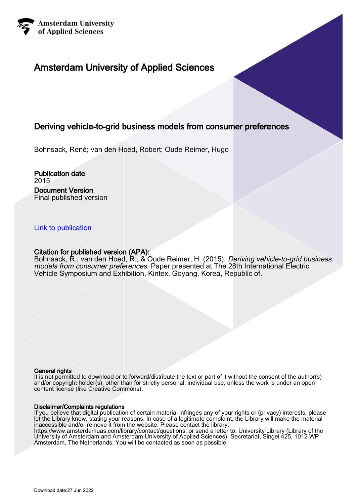

# Amsterdam University of Applied Sciences

# Deriving vehicle-to-grid business models from consumer preferences

Bohnsack, René; van den Hoed, Robert; Oude Reimer, Hugo

Publication date 2015 Document Version Final published version

### [Link to publication](https://research.hva.nl/en/publications/c99b827a-da44-4f89-ae13-313f394abf4a)

### Citation for published version (APA):

Bohnsack, R., van den Hoed, R., & Oude Reimer, H. (2015). *Deriving vehicle-to-grid business* models from consumer preferences. Paper presented at The 28th International Electric Vehicle Symposium and Exhibition, Kintex, Goyang, Korea, Republic of.

#### General rights

It is not permitted to download or to forward/distribute the text or part of it without the consent of the author(s) and/or copyright holder(s), other than for strictly personal, individual use, unless the work is under an open content license (like Creative Commons).

#### Disclaimer/Complaints regulations

If you believe that digital publication of certain material infringes any of your rights or (privacy) interests, please let the Library know, stating your reasons. In case of a legitimate complaint, the Library will make the material inaccessible and/or remove it from the website. Please contact the library:

https://www.amsterdamuas.com/library/contact/questions, or send a letter to: University Library (Library of the University of Amsterdam and Amsterdam University of Applied Sciences), Secretariat, Singel 425, 1012 WP Amsterdam, The Netherlands. You will be contacted as soon as possible.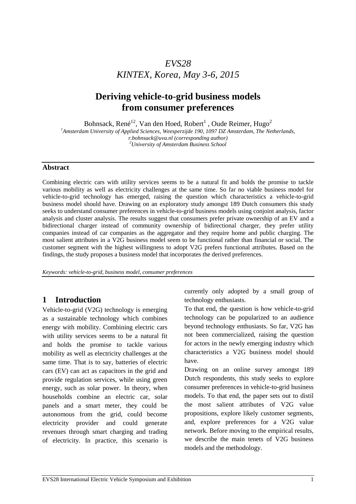# *EVS28 KINTEX, Korea, May 3-6, 2015*

# **Deriving vehicle-to-grid business models from consumer preferences**

Bohnsack, René $^{12}$ , Van den Hoed, Robert $^1$  , Oude Reimer, Hugo<sup>2</sup>

*1 Amsterdam University of Applied Sciences, Weesperzijde 190, 1097 DZ Amsterdam, The Netherlands,*

*r.bohnsack@uva.nl (corresponding author) <sup>2</sup>University of Amsterdam Business School* 

### **Abstract**

Combining electric cars with utility services seems to be a natural fit and holds the promise to tackle various mobility as well as electricity challenges at the same time. So far no viable business model for vehicle-to-grid technology has emerged, raising the question which characteristics a vehicle-to-grid business model should have. Drawing on an exploratory study amongst 189 Dutch consumers this study seeks to understand consumer preferences in vehicle-to-grid business models using conjoint analysis, factor analysis and cluster analysis. The results suggest that consumers prefer private ownership of an EV and a bidirectional charger instead of community ownership of bidirectional charger, they prefer utility companies instead of car companies as the aggregator and they require home and public charging. The most salient attributes in a V2G business model seem to be functional rather than financial or social. The customer segment with the highest willingness to adopt V2G prefers functional attributes. Based on the findings, the study proposes a business model that incorporates the derived preferences.

*Keywords: vehicle-to-grid, business model, consumer preferences* 

## **1 Introduction**

Vehicle-to-grid (V2G) technology is emerging as a sustainable technology which combines energy with mobility. Combining electric cars with utility services seems to be a natural fit and holds the promise to tackle various mobility as well as electricity challenges at the same time. That is to say, batteries of electric cars (EV) can act as capacitors in the grid and provide regulation services, while using green energy, such as solar power. In theory, when households combine an electric car, solar panels and a smart meter, they could be autonomous from the grid, could become electricity provider and could generate revenues through smart charging and trading of electricity. In practice, this scenario is currently only adopted by a small group of technology enthusiasts.

To that end, the question is how vehicle-to-grid technology can be popularized to an audience beyond technology enthusiasts. So far, V2G has not been commercialized, raising the question for actors in the newly emerging industry which characteristics a V2G business model should have.

Drawing on an online survey amongst 189 Dutch respondents, this study seeks to explore consumer preferences in vehicle-to-grid business models. To that end, the paper sets out to distil the most salient attributes of V2G value propositions, explore likely customer segments, and, explore preferences for a V2G value network. Before moving to the empirical results, we describe the main tenets of V2G business models and the methodology.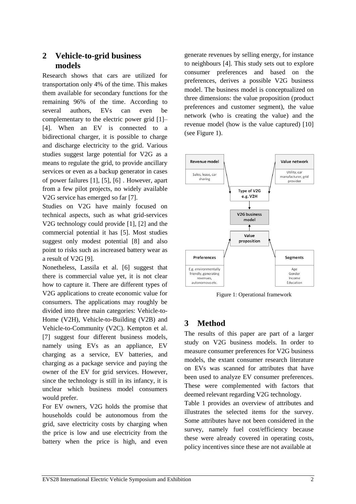## **2 Vehicle-to-grid business models**

Research shows that cars are utilized for transportation only 4% of the time. This makes them available for secondary functions for the remaining 96% of the time. According to several authors, EVs can even be complementary to the electric power grid [1]– [4]. When an EV is connected to a bidirectional charger, it is possible to charge and discharge electricity to the grid. Various studies suggest large potential for V2G as a means to regulate the grid, to provide ancillary services or even as a backup generator in cases of power failures [1], [5], [6] . However, apart from a few pilot projects, no widely available V2G service has emerged so far [7].

Studies on V2G have mainly focused on technical aspects, such as what grid-services V2G technology could provide [1], [2] and the commercial potential it has [5]. Most studies suggest only modest potential [8] and also point to risks such as increased battery wear as a result of V2G [9].

Nonetheless, Lassila et al. [6] suggest that there is commercial value yet, it is not clear how to capture it. There are different types of V2G applications to create economic value for consumers. The applications may roughly be divided into three main categories: Vehicle-to-Home (V2H), Vehicle-to-Building (V2B) and Vehicle-to-Community (V2C). Kempton et al. [7] suggest four different business models, namely using EVs as an appliance, EV charging as a service, EV batteries, and charging as a package service and paying the owner of the EV for grid services. However, since the technology is still in its infancy, it is unclear which business model consumers would prefer.

For EV owners, V2G holds the promise that households could be autonomous from the grid, save electricity costs by charging when the price is low and use electricity from the battery when the price is high, and even

generate revenues by selling energy, for instance to neighbours [4]. This study sets out to explore consumer preferences and based on the preferences, derives a possible V2G business model. The business model is conceptualized on three dimensions: the value proposition (product preferences and customer segment), the value network (who is creating the value) and the revenue model (how is the value captured) [10] (see Figure 1).



Figure 1: Operational framework

# **3 Method**

The results of this paper are part of a larger study on V2G business models. In order to measure consumer preferences for V2G business models, the extant consumer research literature on EVs was scanned for attributes that have been used to analyze EV consumer preferences. These were complemented with factors that deemed relevant regarding V2G technology.

Table 1 provides an overview of attributes and illustrates the selected items for the survey. Some attributes have not been considered in the survey, namely fuel cost/efficiency because these were already covered in operating costs, policy incentives since these are not available at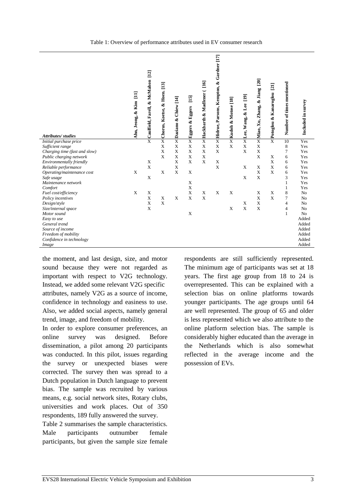| Attributes/studies            | Ahn, Jeong, & Kim [11] | $[12]$<br>Caulfield, Farell, & McMahon | & Hoen. [13]<br>Chorus, Koetse, | [14]<br>Chiew<br>Daziano & | $\boxed{15}$<br>& Eggers<br>Eggers | $[16]$<br>Hackbarth & Madlener ( | Hidrue, Parsons, Kempton, & Gardner [17] | ×Kudoh & Motose [18] | Lee, Wang, & Lee [19] | [20]<br>Miao, Xu, Zhang, & Jiang | [21]<br>Potoglou & Kanaroglou | Number of times mentioned | Included in survey |
|-------------------------------|------------------------|----------------------------------------|---------------------------------|----------------------------|------------------------------------|----------------------------------|------------------------------------------|----------------------|-----------------------|----------------------------------|-------------------------------|---------------------------|--------------------|
| Initial purchase price        |                        | $\overline{X}$                         | $\overline{\mathbf{X}}$         | $\overline{\mathbf{X}}$    | $\overline{\mathbf{X}}$            | $\overline{X}$                   | $\overline{X}$                           |                      | $\overline{X}$        | $\overline{X}$                   | $\overline{\mathbf{X}}$       | 10                        | Yes                |
| Sufficient range              |                        |                                        | X                               | X                          | X                                  | X                                | $\mathbf X$                              | $\mathbf X$          | X                     | X                                |                               | 8                         | Yes                |
| Charging time (fast and slow) |                        |                                        | X                               | X                          | X                                  | X                                | X                                        |                      | $\mathbf X$           | X                                |                               | $\overline{7}$            | Yes                |
| Public charging network       |                        |                                        | $\mathbf x$                     | X                          | X                                  | X                                |                                          |                      |                       | $\mathbf X$                      | X                             | 6                         | Yes                |
| Environmentally friendly      |                        | X                                      |                                 | X                          | $\mathbf{x}$                       | X                                | X                                        |                      |                       |                                  | X                             | 6                         | Yes                |
| Reliable performance          |                        | X                                      |                                 | X                          |                                    |                                  | X                                        |                      | X                     | X                                | X                             | 6                         | Yes                |
| Operating/maintenance cost    | X                      |                                        | X                               | X                          | X                                  |                                  |                                          |                      |                       | X                                | X                             | 6                         | Yes                |
| Safe usage                    |                        | $\boldsymbol{\mathrm{X}}$              |                                 |                            |                                    |                                  |                                          |                      | $\mathbf X$           | X                                |                               | 3                         | Yes                |
| Maintenance network           |                        |                                        |                                 |                            | X                                  |                                  |                                          |                      |                       |                                  |                               | 1                         | Yes                |
| Comfort                       |                        |                                        |                                 |                            | $\mathbf X$                        |                                  |                                          |                      |                       |                                  |                               | 1                         | Yes                |
| Fuel cost/efficiency          | X                      | X                                      |                                 |                            | X                                  | X                                | $\mathbf X$                              | X                    |                       | X                                | X                             | 8                         | No                 |
| Policy incentives             |                        | X                                      | X                               | X                          | X                                  | X                                |                                          |                      |                       | X                                | X                             | $\overline{7}$            | No                 |
| Design/style                  |                        | X                                      | X                               |                            |                                    |                                  |                                          |                      | X                     | X                                |                               | $\overline{4}$            | N <sub>o</sub>     |
| Size/internal space           |                        | X                                      |                                 |                            |                                    |                                  |                                          | X                    | $\mathbf X$           | $\mathbf X$                      |                               | $\overline{4}$            | No                 |
| Motor sound                   |                        |                                        |                                 |                            | X                                  |                                  |                                          |                      |                       |                                  |                               | $\mathbf{1}$              | No                 |
| Easy to use                   |                        |                                        |                                 |                            |                                    |                                  |                                          |                      |                       |                                  |                               |                           | Added              |
| General trend                 |                        |                                        |                                 |                            |                                    |                                  |                                          |                      |                       |                                  |                               |                           | Added              |
| Source of income              |                        |                                        |                                 |                            |                                    |                                  |                                          |                      |                       |                                  |                               |                           | Added              |
| Freedom of mobility           |                        |                                        |                                 |                            |                                    |                                  |                                          |                      |                       |                                  |                               |                           | Added              |
| Confidence in technology      |                        |                                        |                                 |                            |                                    |                                  |                                          |                      |                       |                                  |                               |                           | Added              |
| Image                         |                        |                                        |                                 |                            |                                    |                                  |                                          |                      |                       |                                  |                               |                           | Added              |

the moment, and last design, size, and motor sound because they were not regarded as important with respect to V2G technology. Instead, we added some relevant V2G specific attributes, namely V2G as a source of income, confidence in technology and easiness to use. Also, we added social aspects, namely general trend, image, and freedom of mobility.

In order to explore consumer preferences, an online survey was designed. Before dissemination, a pilot among 20 participants was conducted. In this pilot, issues regarding the survey or unexpected biases were corrected. The survey then was spread to a Dutch population in Dutch language to prevent bias. The sample was recruited by various means, e.g. social network sites, Rotary clubs, universities and work places. Out of 350 respondents, 189 fully answered the survey.

Table 2 summarises the sample characteristics. Male participants outnumber female participants, but given the sample size female

respondents are still sufficiently represented. The minimum age of participants was set at 18 years. The first age group from 18 to 24 is overrepresented. This can be explained with a selection bias on online platforms towards younger participants. The age groups until 64 are well represented. The group of 65 and older is less represented which we also attribute to the online platform selection bias. The sample is considerably higher educated than the average in the Netherlands which is also somewhat reflected in the average income and the possession of EVs.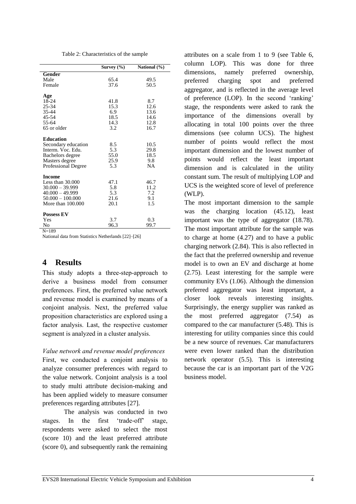Table 2: Characteristics of the sample

|                                                                           | Survey $(\% )$             | National (%)       |
|---------------------------------------------------------------------------|----------------------------|--------------------|
| Gender                                                                    |                            |                    |
| Male                                                                      | 65.4                       | 49.5               |
| Female                                                                    | 37.6                       | 50.5               |
|                                                                           |                            |                    |
| Age                                                                       |                            |                    |
| 18-24                                                                     | 41.8                       | 8.7                |
| 25-34                                                                     | 15.3                       | 12.6               |
| 35-44                                                                     | 6.9                        | 13.6               |
| 45-54                                                                     | 18.5                       | 14.6               |
| 55-64                                                                     | 14.3                       | 12.8               |
| 65 or older                                                               | 3.2                        | 16.7               |
|                                                                           |                            |                    |
| <b>Education</b>                                                          |                            |                    |
| Secondary education                                                       | 8.5                        | 10.5               |
| Interm. Voc. Edu.                                                         | 5.3                        | 29.8               |
| Bachelors degree                                                          | 55.0                       | 18.5               |
| Masters degree                                                            | 25.9                       | 9.8                |
| <b>Professional Degree</b>                                                | 5.3                        | <b>NA</b>          |
| <b>Income</b>                                                             |                            |                    |
| Less than $30.000$                                                        | 47.1                       | 46.7               |
| $30.000 - 39.999$                                                         | 5.8                        | 11.2               |
|                                                                           |                            |                    |
|                                                                           |                            | 9.1                |
| More than 100,000                                                         | 20.1                       | 1.5                |
|                                                                           |                            |                    |
|                                                                           |                            |                    |
|                                                                           |                            |                    |
| $40.000 - 49.999$<br>$50.000 - 100.000$<br><b>Possess EV</b><br>Yes<br>No | 5.3<br>21.6<br>3.7<br>96.3 | 7.2<br>0.3<br>99.7 |

 $N=189$ 

National data from Statistics Netherlands [22]–[26]

## **4 Results**

This study adopts a three-step-approach to derive a business model from consumer preferences. First, the preferred value network and revenue model is examined by means of a conjoint analysis. Next, the preferred value proposition characteristics are explored using a factor analysis. Last, the respective customer segment is analyzed in a cluster analysis.

#### *Value network and revenue model preferences*

First, we conducted a conjoint analysis to analyze consumer preferences with regard to the value network. Conjoint analysis is a tool to study multi attribute decision-making and has been applied widely to measure consumer preferences regarding attributes [27].

The analysis was conducted in two stages. In the first 'trade-off' stage, respondents were asked to select the most (score 10) and the least preferred attribute (score 0), and subsequently rank the remaining

attributes on a scale from 1 to 9 (see Table 6, column LOP). This was done for three dimensions, namely preferred ownership, preferred charging spot and preferred aggregator, and is reflected in the average level of preference (LOP). In the second 'ranking' stage, the respondents were asked to rank the importance of the dimensions overall by allocating in total 100 points over the three dimensions (see column UCS). The highest number of points would reflect the most important dimension and the lowest number of points would reflect the least important dimension and is calculated in the utility constant sum. The result of multiplying LOP and UCS is the weighted score of level of preference (WLP).

The most important dimension to the sample was the charging location (45.12), least important was the type of aggregator (18.78). The most important attribute for the sample was to charge at home (4.27) and to have a public charging network (2.84). This is also reflected in the fact that the preferred ownership and revenue model is to own an EV and discharge at home (2.75). Least interesting for the sample were community EVs (1.06). Although the dimension preferred aggregator was least important, a closer look reveals interesting insights. Surprisingly, the energy supplier was ranked as the most preferred aggregator (7.54) as compared to the car manufacturer (5.48). This is interesting for utility companies since this could be a new source of revenues. Car manufacturers were even lower ranked than the distribution network operator (5.5). This is interesting because the car is an important part of the V2G business model.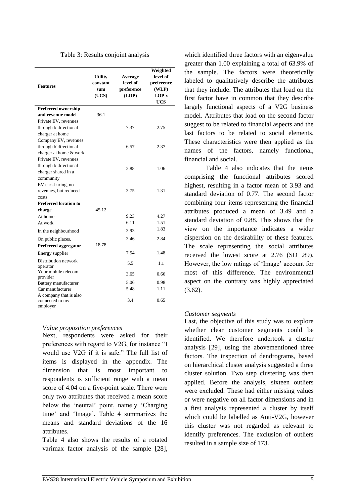| Table 3: Results conjoint analysis |  |  |
|------------------------------------|--|--|
|------------------------------------|--|--|

| <b>Features</b>                                       | <b>Utility</b><br>constant<br>sum<br>(UCS) | Average<br>level of<br>preference<br>(LOP) | Weighted<br>level of<br>preference<br>(WLP)<br><b>LOP</b> <sub>x</sub><br><b>UCS</b> |
|-------------------------------------------------------|--------------------------------------------|--------------------------------------------|--------------------------------------------------------------------------------------|
| Preferred ownership                                   |                                            |                                            |                                                                                      |
| and revenue model                                     | 36.1                                       |                                            |                                                                                      |
| Private EV, revenues                                  |                                            |                                            |                                                                                      |
| through bidirectional                                 |                                            | 7.37                                       | 2.75                                                                                 |
| charger at home                                       |                                            |                                            |                                                                                      |
| Company EV, revenues                                  |                                            |                                            |                                                                                      |
| through bidirectional                                 |                                            | 6.57                                       | 2.37                                                                                 |
| charger at home & work                                |                                            |                                            |                                                                                      |
| Private EV, revenues                                  |                                            |                                            |                                                                                      |
| through bidirectional                                 |                                            | 2.88                                       | 1.06                                                                                 |
| charger shared in a                                   |                                            |                                            |                                                                                      |
| community                                             |                                            |                                            |                                                                                      |
| EV car sharing, no                                    |                                            |                                            |                                                                                      |
| revenues, but reduced                                 |                                            | 3.75                                       | 1.31                                                                                 |
| costs                                                 |                                            |                                            |                                                                                      |
| <b>Preferred location to</b>                          |                                            |                                            |                                                                                      |
| charge                                                | 45.12                                      |                                            |                                                                                      |
| At home                                               |                                            | 9.23<br>6.11                               | 4.27<br>1.51                                                                         |
| At work                                               |                                            |                                            | 1.83                                                                                 |
| In the neighbourhood                                  |                                            | 3.93                                       |                                                                                      |
| On public places.                                     |                                            | 3.46                                       | 2.84                                                                                 |
| Preferred aggregator                                  | 18.78                                      |                                            |                                                                                      |
| Energy supplier                                       |                                            | 7.54                                       | 1.48                                                                                 |
| Distribution network<br>operator                      |                                            | 5.5                                        | 1.1                                                                                  |
| Your mobile telecom<br>provider                       |                                            | 3.65                                       | 0.66                                                                                 |
| Battery manufacturer                                  |                                            | 5.06                                       | 0.98                                                                                 |
| Car manufacturer                                      |                                            | 5.48                                       | 1.11                                                                                 |
| A company that is also<br>connected to my<br>employer |                                            | 3.4                                        | 0.65                                                                                 |

### *Value proposition preferences*

Next, respondents were asked for their preferences with regard to V2G, for instance "I would use V2G if it is safe." The full list of items is displayed in the appendix. The dimension that is most important to respondents is sufficient range with a mean score of 4.04 on a five-point scale. There were only two attributes that received a mean score below the 'neutral' point, namely 'Charging time' and 'Image'. Table 4 summarizes the means and standard deviations of the 16 attributes.

Table 4 also shows the results of a rotated varimax factor analysis of the sample [28],

which identified three factors with an eigenvalue greater than 1.00 explaining a total of 63.9% of the sample. The factors were theoretically labeled to qualitatively describe the attributes that they include. The attributes that load on the first factor have in common that they describe largely functional aspects of a V2G business model. Attributes that load on the second factor suggest to be related to financial aspects and the last factors to be related to social elements. These characteristics were then applied as the names of the factors, namely functional, financial and social.

Table 4 also indicates that the items comprising the functional attributes scored highest, resulting in a factor mean of 3.93 and standard deviation of 0.77. The second factor combining four items representing the financial attributes produced a mean of 3.49 and a standard deviation of 0.88. This shows that the view on the importance indicates a wider dispersion on the desirability of these features. The scale representing the social attributes received the lowest score at 2.76 (SD .89). However, the low ratings of 'Image' account for most of this difference. The environmental aspect on the contrary was highly appreciated  $(3.62)$ .

### *Customer segments*

Last, the objective of this study was to explore whether clear customer segments could be identified. We therefore undertook a cluster analysis [29], using the abovementioned three factors. The inspection of dendrograms, based on hierarchical cluster analysis suggested a three cluster solution. Two step clustering was then applied. Before the analysis, sixteen outliers were excluded. These had either missing values or were negative on all factor dimensions and in a first analysis represented a cluster by itself which could be labelled as Anti-V2G, however this cluster was not regarded as relevant to identify preferences. The exclusion of outliers resulted in a sample size of 173.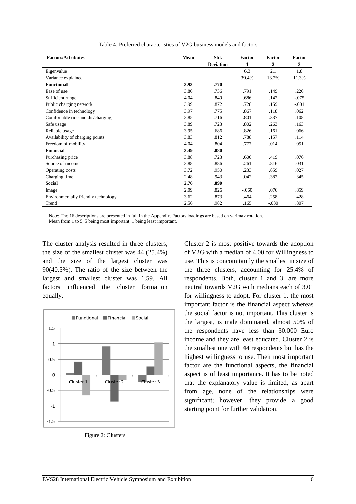| <b>Factors/Attributes</b>           | Mean | Std.             | Factor | Factor  | Factor  |
|-------------------------------------|------|------------------|--------|---------|---------|
|                                     |      | <b>Deviation</b> | 1      | 2       | 3       |
| Eigenvalue                          |      |                  | 6.3    | 2.1     | 1.8     |
| Variance explained                  |      |                  | 39.4%  | 13.2%   | 11.3%   |
| <b>Functional</b>                   | 3.93 | .770             |        |         |         |
| Ease of use                         | 3.80 | .736             | .791   | .149    | .220    |
| Sufficient range                    | 4.04 | .849             | .686   | .142    | $-.075$ |
| Public charging network             | 3.99 | .872             | .728   | .159    | $-.001$ |
| Confidence in technology            | 3.97 | .775             | .867   | .118    | .062    |
| Comfortable ride and dis/charging   | 3.85 | .716             | .801   | .337    | .108    |
| Safe usage                          | 3.89 | .723             | .802   | .263    | .163    |
| Reliable usage                      | 3.95 | .686             | .826   | .161    | .066    |
| Availability of charging points     | 3.83 | .812             | .788   | .157    | .114    |
| Freedom of mobility                 | 4.04 | .804             | .777   | .014    | .051    |
| <b>Financial</b>                    | 3.49 | .880             |        |         |         |
| Purchasing price                    | 3.88 | .723             | .600   | .419    | .076    |
| Source of income                    | 3.88 | .886             | .261   | .816    | .031    |
| Operating costs                     | 3.72 | .950             | .233   | .859    | .027    |
| Charging time                       | 2.48 | .943             | .042   | .382    | .345    |
| <b>Social</b>                       | 2.76 | .890             |        |         |         |
| Image                               | 2.09 | .826             | $-060$ | .076    | .859    |
| Environmentally friendly technology | 3.62 | .873             | .464   | .258    | .428    |
| Trend                               | 2.56 | .982             | .165   | $-.030$ | .807    |

Table 4: Preferred characteristics of V2G business models and factors

Note: The 16 descriptions are presented in full in the Appendix. Factors loadings are based on varimax rotation.

Mean from 1 to 5, 5 being most important, 1 being least important.

The cluster analysis resulted in three clusters, the size of the smallest cluster was 44 (25.4%) and the size of the largest cluster was 90(40.5%). The ratio of the size between the largest and smallest cluster was 1.59. All factors influenced the cluster formation equally.



Figure 2: Clusters

Cluster 2 is most positive towards the adoption of V2G with a median of 4.00 for Willingness to use. This is concomitantly the smallest in size of the three clusters, accounting for 25.4% of respondents. Both, cluster 1 and 3, are more neutral towards V2G with medians each of 3.01 for willingness to adopt. For cluster 1, the most important factor is the financial aspect whereas the social factor is not important. This cluster is the largest, is male dominated, almost 50% of the respondents have less than 30.000 Euro income and they are least educated. Cluster 2 is the smallest one with 44 respondents but has the highest willingness to use. Their most important factor are the functional aspects, the financial aspect is of least importance. It has to be noted that the explanatory value is limited, as apart from age, none of the relationships were significant; however, they provide a good starting point for further validation.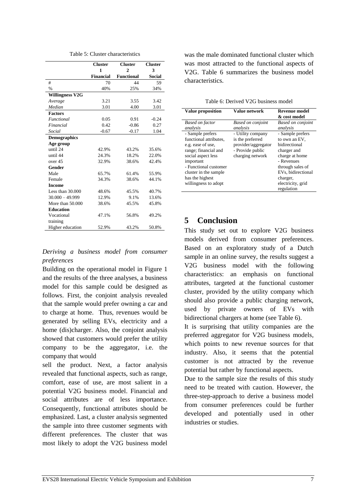|                        | <b>Cluster</b><br>$\mathbf{1}$ | <b>Cluster</b><br>$\overline{2}$ | <b>Cluster</b><br>3 |
|------------------------|--------------------------------|----------------------------------|---------------------|
|                        | <b>Financial</b>               | <b>Functional</b>                | <b>Social</b>       |
| #                      | 70                             | 44                               | 59                  |
| $\%$                   | 40%                            | 25%                              | 34%                 |
| <b>Willingness V2G</b> |                                |                                  |                     |
| Average                | 3.21                           | 3.55                             | 3.42                |
| Median                 | 3.01                           | 4.00                             | 3.01                |
| <b>Factors</b>         |                                |                                  |                     |
| <b>Functional</b>      | 0.05                           | 0.91                             | $-0.24$             |
| Financial              | 0.42                           | $-0.86$                          | 0.27                |
| Social                 | $-0.67$                        | $-0.17$                          | 1.04                |
| <b>Demographics</b>    |                                |                                  |                     |
| Age group              |                                |                                  |                     |
| until 24               | 42.9%                          | 43.2%                            | 35.6%               |
| until 44               | 24.3%                          | 18.2%                            | 22.0%               |
| over 45                | 32.9%                          | 38.6%                            | 42.4%               |
| Gender                 |                                |                                  |                     |
| Male                   | 65.7%                          | 61.4%                            | 55.9%               |
| Female                 | 34.3%                          | 38.6%                            | 44.1%               |
| <b>Income</b>          |                                |                                  |                     |
| Less than $30.000$     | 48.6%                          | 45.5%                            | 40.7%               |
| $30.000 - 49.999$      | 12.9%                          | 9.1%                             | 13.6%               |
| More than 50,000       | 38.6%                          | 45.5%                            | 45.8%               |
| <b>Education</b>       |                                |                                  |                     |
| Vocational             | 47.1%                          | 56.8%                            | 49.2%               |
| training               |                                |                                  |                     |
| Higher education       | 52.9%                          | 43.2%                            | 50.8%               |

Table 5: Cluster characteristics

### *Deriving a business model from consumer preferences*

Building on the operational model in Figure 1 and the results of the three analyses, a business model for this sample could be designed as follows. First, the conjoint analysis revealed that the sample would prefer owning a car and to charge at home. Thus, revenues would be generated by selling EVs, electricity and a home (dis)charger. Also, the conjoint analysis showed that customers would prefer the utility company to be the aggregator, i.e. the company that would

sell the product. Next, a factor analysis revealed that functional aspects, such as range, comfort, ease of use, are most salient in a potential V2G business model. Financial and social attributes are of less importance. Consequently, functional attributes should be emphasized. Last, a cluster analysis segmented the sample into three customer segments with different preferences. The cluster that was most likely to adopt the V2G business model was the male dominated functional cluster which was most attracted to the functional aspects of V2G. Table 6 summarizes the business model characteristics.

Table 6: Derived V2G business model

| <b>Value proposition</b>                                                                                                                                                                                                | Value network                                                                                        | <b>Revenue model</b><br>& cost model                                                                                                                                                       |
|-------------------------------------------------------------------------------------------------------------------------------------------------------------------------------------------------------------------------|------------------------------------------------------------------------------------------------------|--------------------------------------------------------------------------------------------------------------------------------------------------------------------------------------------|
| <b>Based on factor</b><br>analysis                                                                                                                                                                                      | <b>Based on conjoint</b><br>analysis                                                                 | <b>Based on conjoint</b><br>analysis                                                                                                                                                       |
| - Sample prefers<br>functional attributes.<br>e.g. ease of use,<br>range; financial and<br>social aspect less<br>important<br>- Functional customer<br>cluster in the sample<br>has the highest<br>willingness to adopt | - Utility company<br>is the preferred<br>provider/aggregator<br>- Provide public<br>charging network | - Sample prefers<br>to own an EV,<br>hidirectional<br>charger and<br>charge at home<br>- Revenues<br>through sales of<br>EVs, bidirectional<br>charger,<br>electricity, grid<br>regulation |

## **5 Conclusion**

This study set out to explore V2G business models derived from consumer preferences. Based on an exploratory study of a Dutch sample in an online survey, the results suggest a V2G business model with the following characteristics: an emphasis on functional attributes, targeted at the functional customer cluster, provided by the utility company which should also provide a public charging network, used by private owners of EVs with bidirectional chargers at home (see Table 6).

It is surprising that utility companies are the preferred aggregator for V2G business models, which points to new revenue sources for that industry. Also, it seems that the potential customer is not attracted by the revenue potential but rather by functional aspects.

Due to the sample size the results of this study need to be treated with caution. However, the three-step-approach to derive a business model from consumer preferences could be further developed and potentially used in other industries or studies.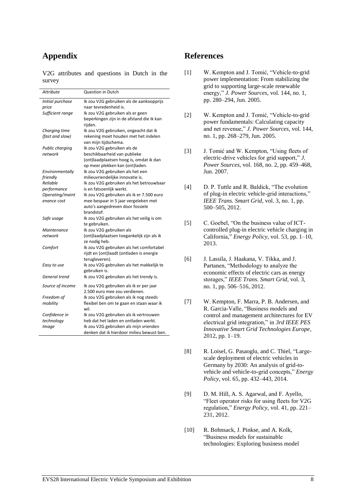## **Appendix**

V2G attributes and questions in Dutch in the survey

| <b>Attribute</b> | <b>Question in Dutch</b>                                    |
|------------------|-------------------------------------------------------------|
| Initial purchase | Ik zou V2G gebruiken als de aankoopprijs                    |
| price            | naar tevredenheid is.                                       |
| Sufficient range | Ik zou V2G gebruiken als er geen                            |
|                  | beperkingen zijn in de afstand die ik kan                   |
|                  | rijden.                                                     |
| Charging time    | Ik zou V2G gebruiken, ongeacht dat ik                       |
| (fast and slow)  | rekening moet houden met het indelen                        |
|                  | van mijn tijdschema.                                        |
| Public charging  | Ik zou V2G gebruiken als de                                 |
| network          | beschikbaarheid van publieke                                |
|                  | (ont)laadplaatsen hoog is, omdat ik dan                     |
|                  | op meer plekken kan (ont)laden.                             |
| Environmentally  | Ik zou V2G gebruiken als het een                            |
| friendly         | milieuvriendelijke innovatie is.                            |
| Reliable         | Ik zou V2G gebruiken als het betrouwbaar                    |
| performance      | is en fatsoenlijk werkt.                                    |
| Operating/maint  | Ik zou V2G gebruiken als ik er 7.500 euro                   |
| enance cost      | mee bespaar in 5 jaar vergeleken met                        |
|                  | auto's aangedreven door fossiele                            |
|                  | brandstof.                                                  |
| Safe usage       | Ik zou V2G gebruiken als het veilig is om                   |
|                  | te gebruiken.                                               |
| Maintenance      | Ik zou V2G gebruiken als                                    |
| network          | (ont)laadplaatsen toegankelijk zijn als ik<br>ze nodig heb. |
| Comfort          | Ik zou V2G gebruiken als het comfortabel                    |
|                  | rijdt en (ont)laadt (ontladen is energie                    |
|                  | terugleveren).                                              |
| Easy to use      | Ik zou V2G gebruiken als het makkelijk te                   |
|                  | gebruiken is.                                               |
| General trend    | Ik zou V2G gebruiken als het trendy is.                     |
| Source of income | Ik zou V2G gebruiken als ik er per jaar                     |
|                  | 2.500 euro mee zou verdienen.                               |
| Freedom of       | Ik zou V2G gebruiken als ik nog steeds                      |
| mobility         | flexibel ben om te gaan en staan waar ik<br>wil.            |
| Confidence in    | Ik zou V2G gebruiken als ik vertrouwen                      |
| technology       | heb dat het laden en ontladen werkt.                        |
| Image            | Ik zou V2G gebruiken als mijn vrienden                      |
|                  | denken dat ik hierdoor milieu bewust ben.                   |

## **References**

- [1] W. Kempton and J. Tomić, "Vehicle-to-grid power implementation: From stabilizing the grid to supporting large-scale renewable energy," *J. Power Sources*, vol. 144, no. 1, pp. 280–294, Jun. 2005.
- [2] W. Kempton and J. Tomić, "Vehicle-to-grid power fundamentals: Calculating capacity and net revenue," *J. Power Sources*, vol. 144, no. 1, pp. 268–279, Jun. 2005.
- [3] J. Tomić and W. Kempton, "Using fleets of electric-drive vehicles for grid support," *J. Power Sources*, vol. 168, no. 2, pp. 459–468, Jun. 2007.
- [4] D. P. Tuttle and R. Baldick, "The evolution of plug-in electric vehicle-grid interactions," *IEEE Trans. Smart Grid*, vol. 3, no. 1, pp. 500–505, 2012.
- [5] C. Goebel, "On the business value of ICTcontrolled plug-in electric vehicle charging in California," *Energy Policy*, vol. 53, pp. 1–10, 2013.
- [6] J. Lassila, J. Haakana, V. Tikka, and J. Partanen, "Methodology to analyze the economic effects of electric cars as energy storages," *IEEE Trans. Smart Grid*, vol. 3, no. 1, pp. 506–516, 2012.
- [7] W. Kempton, F. Marra, P. B. Andersen, and R. Garcia-Valle, "Business models and control and management architectures for EV electrical grid integration," in *3rd IEEE PES Innovative Smart Grid Technologies Europe*, 2012, pp. 1–19.
- [8] R. Loisel, G. Pasaoglu, and C. Thiel, "Largescale deployment of electric vehicles in Germany by 2030: An analysis of grid-tovehicle and vehicle-to-grid concepts," *Energy Policy*, vol. 65, pp. 432–443, 2014.
- [9] D. M. Hill, A. S. Agarwal, and F. Ayello, "Fleet operator risks for using fleets for V2G regulation," *Energy Policy*, vol. 41, pp. 221– 231, 2012.
- [10] R. Bohnsack, J. Pinkse, and A. Kolk, "Business models for sustainable technologies: Exploring business model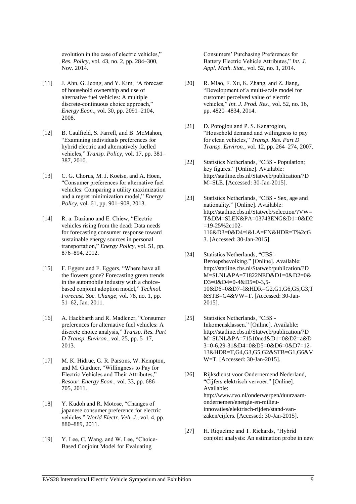evolution in the case of electric vehicles," *Res. Policy*, vol. 43, no. 2, pp. 284–300, Nov. 2014.

- [11] J. Ahn, G. Jeong, and Y. Kim, "A forecast of household ownership and use of alternative fuel vehicles: A multiple discrete-continuous choice approach," *Energy Econ.*, vol. 30, pp. 2091–2104, 2008.
- [12] B. Caulfield, S. Farrell, and B. McMahon, "Examining individuals preferences for hybrid electric and alternatively fuelled vehicles," *Transp. Policy*, vol. 17, pp. 381– 387, 2010.
- [13] C. G. Chorus, M. J. Koetse, and A. Hoen, "Consumer preferences for alternative fuel vehicles: Comparing a utility maximization and a regret minimization model," *Energy Policy*, vol. 61, pp. 901–908, 2013.
- [14] R. a. Daziano and E. Chiew, "Electric vehicles rising from the dead: Data needs for forecasting consumer response toward sustainable energy sources in personal transportation," *Energy Policy*, vol. 51, pp. 876–894, 2012.
- [15] F. Eggers and F. Eggers, "Where have all the flowers gone? Forecasting green trends in the automobile industry with a choicebased conjoint adoption model," *Technol. Forecast. Soc. Change*, vol. 78, no. 1, pp. 51–62, Jan. 2011.
- [16] A. Hackbarth and R. Madlener, "Consumer preferences for alternative fuel vehicles: A discrete choice analysis," *Transp. Res. Part D Transp. Environ.*, vol. 25, pp. 5–17, 2013.
- [17] M. K. Hidrue, G. R. Parsons, W. Kempton, and M. Gardner, "Willingness to Pay for Electric Vehicles and Their Attributes," *Resour. Energy Econ.*, vol. 33, pp. 686– 705, 2011.
- [18] Y. Kudoh and R. Motose, "Changes of japanese consumer preference for electric vehicles," *World Electr. Veh. J.*, vol. 4, pp. 880–889, 2011.
- [19] Y. Lee, C. Wang, and W. Lee, "Choice-Based Conjoint Model for Evaluating

Consumers' Purchasing Preferences for Battery Electric Vehicle Attributes," *Int. J. Appl. Math. Stat.*, vol. 52, no. 1, 2014.

- [20] R. Miao, F. Xu, K. Zhang, and Z. Jiang, "Development of a multi-scale model for customer perceived value of electric vehicles," *Int. J. Prod. Res.*, vol. 52, no. 16, pp. 4820–4834, 2014.
- [21] D. Potoglou and P. S. Kanaroglou, "Household demand and willingness to pay for clean vehicles," *Transp. Res. Part D Transp. Environ.*, vol. 12, pp. 264–274, 2007.
- [22] Statistics Netherlands, "CBS Population; key figures." [Online]. Available: http://statline.cbs.nl/Statweb/publication/?D M=SLE. [Accessed: 30-Jan-2015].
- [23] Statistics Netherlands, "CBS Sex, age and nationality." [Online]. Available: http://statline.cbs.nl/Statweb/selection/?VW= T&DM=SLEN&PA=03743ENG&D1=0&D2  $=19-25\%2c102-$ 116&D3=0&D4=l&LA=EN&HDR=T%2cG 3. [Accessed: 30-Jan-2015].
- [24] Statistics Netherlands, "CBS -Beroepsbevolking." [Online]. Available: http://statline.cbs.nl/Statweb/publication/?D M=SLNL&PA=71822NED&D1=0&D2=0& D3=0&D4=0-4&D5=0-3,5- 10&D6=0&D7=l&HDR=G2,G1,G6,G5,G3,T &STB=G4&VW=T. [Accessed: 30-Jan-2015].
- [25] Statistics Netherlands, "CBS -Inkomensklassen." [Online]. Available: http://statline.cbs.nl/Statweb/publication/?D M=SLNL&PA=71510ned&D1=0&D2=a&D 3=0-6,29-31&D4=0&D5=0&D6=0&D7=12- 13&HDR=T,G4,G3,G5,G2&STB=G1,G6&V W=T. [Accessed: 30-Jan-2015].
- [26] Rijksdienst voor Ondernemend Nederland, "Cijfers elektrisch vervoer." [Online]. Available: http://www.rvo.nl/onderwerpen/duurzaamondernemen/energie-en-milieuinnovaties/elektrisch-rijden/stand-vanzaken/cijfers. [Accessed: 30-Jan-2015].
- [27] H. Riquelme and T. Rickards, "Hybrid conjoint analysis: An estimation probe in new